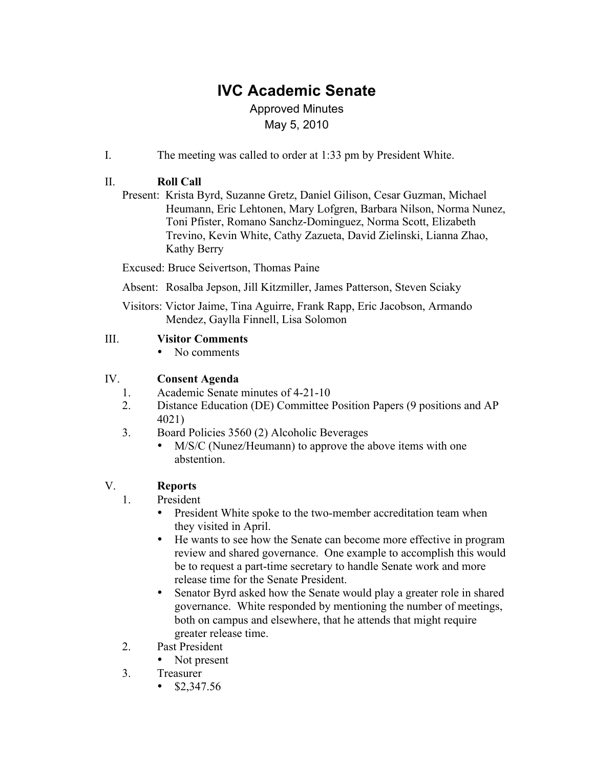# **IVC Academic Senate**

# Approved Minutes May 5, 2010

I. The meeting was called to order at 1:33 pm by President White.

# II. **Roll Call**

Present: Krista Byrd, Suzanne Gretz, Daniel Gilison, Cesar Guzman, Michael Heumann, Eric Lehtonen, Mary Lofgren, Barbara Nilson, Norma Nunez, Toni Pfister, Romano Sanchz-Dominguez, Norma Scott, Elizabeth Trevino, Kevin White, Cathy Zazueta, David Zielinski, Lianna Zhao, Kathy Berry

Excused: Bruce Seivertson, Thomas Paine

Absent: Rosalba Jepson, Jill Kitzmiller, James Patterson, Steven Sciaky

Visitors: Victor Jaime, Tina Aguirre, Frank Rapp, Eric Jacobson, Armando Mendez, Gaylla Finnell, Lisa Solomon

# III. **Visitor Comments**

• No comments

# IV. **Consent Agenda**

- 1. Academic Senate minutes of 4-21-10
- 2. Distance Education (DE) Committee Position Papers (9 positions and AP 4021)
- 3. Board Policies 3560 (2) Alcoholic Beverages
	- M/S/C (Nunez/Heumann) to approve the above items with one abstention.

# V. **Reports**

- 1. President
	- President White spoke to the two-member accreditation team when they visited in April.
	- He wants to see how the Senate can become more effective in program review and shared governance. One example to accomplish this would be to request a part-time secretary to handle Senate work and more release time for the Senate President.
	- Senator Byrd asked how the Senate would play a greater role in shared governance. White responded by mentioning the number of meetings, both on campus and elsewhere, that he attends that might require greater release time.
- 2. Past President
	- Not present
- 3. Treasurer
	- $$2,347.56$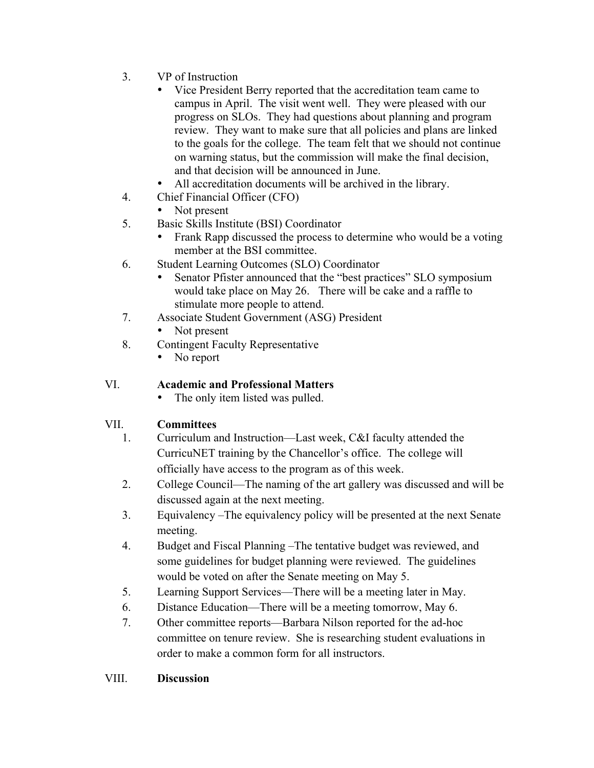- 3. VP of Instruction
	- Vice President Berry reported that the accreditation team came to campus in April. The visit went well. They were pleased with our progress on SLOs. They had questions about planning and program review. They want to make sure that all policies and plans are linked to the goals for the college. The team felt that we should not continue on warning status, but the commission will make the final decision, and that decision will be announced in June.
	- All accreditation documents will be archived in the library.
- 4. Chief Financial Officer (CFO)
	- Not present
- 5. Basic Skills Institute (BSI) Coordinator
	- Frank Rapp discussed the process to determine who would be a voting member at the BSI committee.
- 6. Student Learning Outcomes (SLO) Coordinator
	- Senator Pfister announced that the "best practices" SLO symposium would take place on May 26. There will be cake and a raffle to stimulate more people to attend.
- 7. Associate Student Government (ASG) President
	- Not present
- 8. Contingent Faculty Representative
	- No report

# VI. **Academic and Professional Matters**

The only item listed was pulled.

# VII. **Committees**

- 1. Curriculum and Instruction—Last week, C&I faculty attended the CurricuNET training by the Chancellor's office. The college will officially have access to the program as of this week.
- 2. College Council—The naming of the art gallery was discussed and will be discussed again at the next meeting.
- 3. Equivalency –The equivalency policy will be presented at the next Senate meeting.
- 4. Budget and Fiscal Planning –The tentative budget was reviewed, and some guidelines for budget planning were reviewed. The guidelines would be voted on after the Senate meeting on May 5.
- 5. Learning Support Services—There will be a meeting later in May.
- 6. Distance Education—There will be a meeting tomorrow, May 6.
- 7. Other committee reports—Barbara Nilson reported for the ad-hoc committee on tenure review. She is researching student evaluations in order to make a common form for all instructors.

# VIII. **Discussion**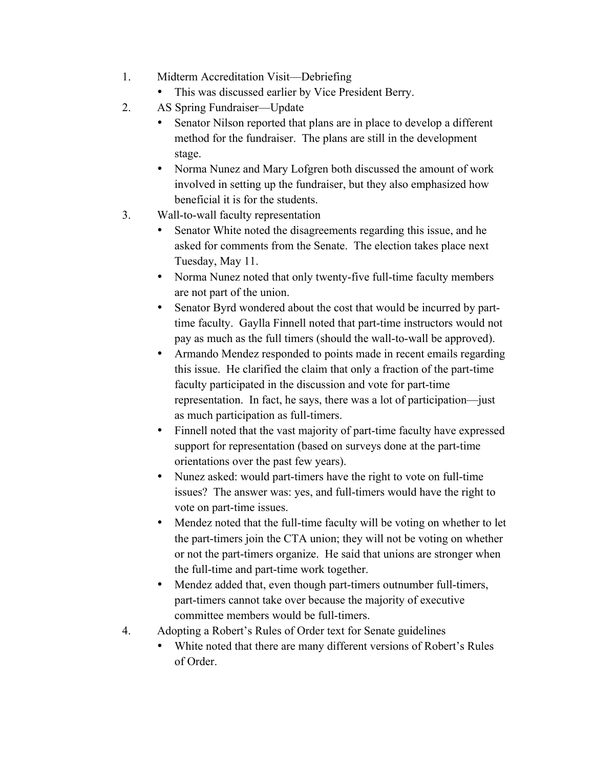- 1. Midterm Accreditation Visit—Debriefing
	- This was discussed earlier by Vice President Berry.
- 2. AS Spring Fundraiser—Update
	- Senator Nilson reported that plans are in place to develop a different method for the fundraiser. The plans are still in the development stage.
	- Norma Nunez and Mary Lofgren both discussed the amount of work involved in setting up the fundraiser, but they also emphasized how beneficial it is for the students.
- 3. Wall-to-wall faculty representation
	- Senator White noted the disagreements regarding this issue, and he asked for comments from the Senate. The election takes place next Tuesday, May 11.
	- Norma Nunez noted that only twenty-five full-time faculty members are not part of the union.
	- Senator Byrd wondered about the cost that would be incurred by parttime faculty. Gaylla Finnell noted that part-time instructors would not pay as much as the full timers (should the wall-to-wall be approved).
	- Armando Mendez responded to points made in recent emails regarding this issue. He clarified the claim that only a fraction of the part-time faculty participated in the discussion and vote for part-time representation. In fact, he says, there was a lot of participation—just as much participation as full-timers.
	- Finnell noted that the vast majority of part-time faculty have expressed support for representation (based on surveys done at the part-time orientations over the past few years).
	- Nunez asked: would part-timers have the right to vote on full-time issues? The answer was: yes, and full-timers would have the right to vote on part-time issues.
	- Mendez noted that the full-time faculty will be voting on whether to let the part-timers join the CTA union; they will not be voting on whether or not the part-timers organize. He said that unions are stronger when the full-time and part-time work together.
	- Mendez added that, even though part-timers outnumber full-timers, part-timers cannot take over because the majority of executive committee members would be full-timers.
- 4. Adopting a Robert's Rules of Order text for Senate guidelines
	- White noted that there are many different versions of Robert's Rules of Order.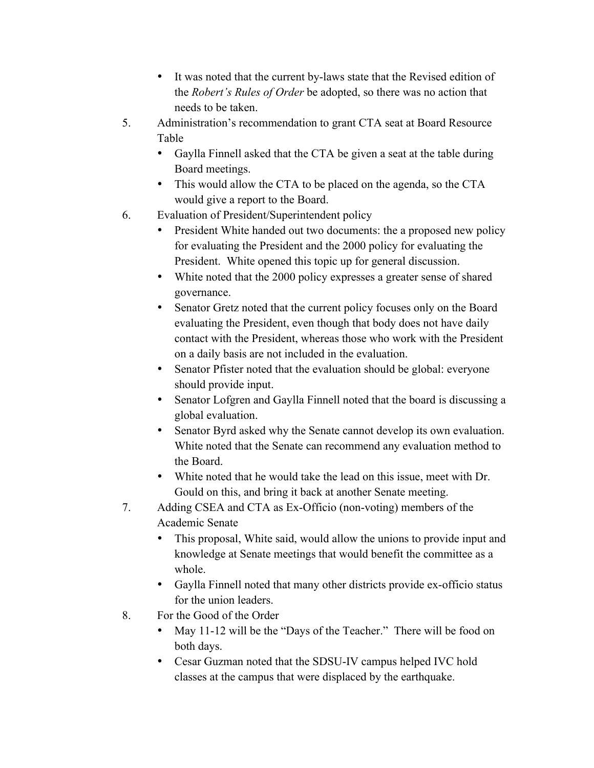- It was noted that the current by-laws state that the Revised edition of the *Robert's Rules of Order* be adopted, so there was no action that needs to be taken.
- 5. Administration's recommendation to grant CTA seat at Board Resource Table
	- Gaylla Finnell asked that the CTA be given a seat at the table during Board meetings.
	- This would allow the CTA to be placed on the agenda, so the CTA would give a report to the Board.
- 6. Evaluation of President/Superintendent policy
	- President White handed out two documents: the a proposed new policy for evaluating the President and the 2000 policy for evaluating the President. White opened this topic up for general discussion.
	- White noted that the 2000 policy expresses a greater sense of shared governance.
	- Senator Gretz noted that the current policy focuses only on the Board evaluating the President, even though that body does not have daily contact with the President, whereas those who work with the President on a daily basis are not included in the evaluation.
	- Senator Pfister noted that the evaluation should be global: everyone should provide input.
	- Senator Lofgren and Gaylla Finnell noted that the board is discussing a global evaluation.
	- Senator Byrd asked why the Senate cannot develop its own evaluation. White noted that the Senate can recommend any evaluation method to the Board.
	- White noted that he would take the lead on this issue, meet with Dr. Gould on this, and bring it back at another Senate meeting.
- 7. Adding CSEA and CTA as Ex-Officio (non-voting) members of the Academic Senate
	- This proposal, White said, would allow the unions to provide input and knowledge at Senate meetings that would benefit the committee as a whole.
	- Gaylla Finnell noted that many other districts provide ex-officio status for the union leaders.
- 8. For the Good of the Order
	- May 11-12 will be the "Days of the Teacher." There will be food on both days.
	- Cesar Guzman noted that the SDSU-IV campus helped IVC hold classes at the campus that were displaced by the earthquake.